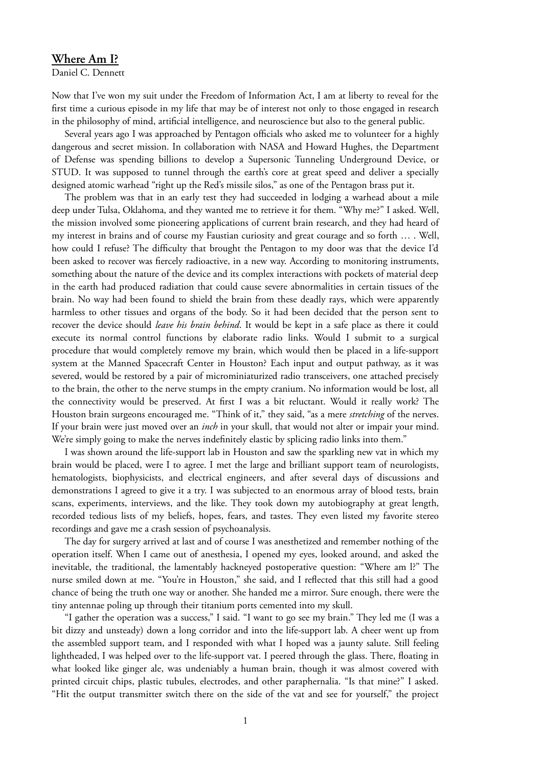## **Where Am I?**

Daniel C. Dennett

Now that I've won my suit under the Freedom of Information Act, I am at liberty to reveal for the first time a curious episode in my life that may be of interest not only to those engaged in research in the philosophy of mind, artificial intelligence, and neuroscience but also to the general public.

Several years ago I was approached by Pentagon officials who asked me to volunteer for a highly dangerous and secret mission. In collaboration with NASA and Howard Hughes, the Department of Defense was spending billions to develop a Supersonic Tunneling Underground Device, or STUD. It was supposed to tunnel through the earth's core at great speed and deliver a specially designed atomic warhead "right up the Red's missile silos," as one of the Pentagon brass put it.

The problem was that in an early test they had succeeded in lodging a warhead about a mile deep under Tulsa, Oklahoma, and they wanted me to retrieve it for them. "Why me?" I asked. Well, the mission involved some pioneering applications of current brain research, and they had heard of my interest in brains and of course my Faustian curiosity and great courage and so forth … . Well, how could I refuse? The difficulty that brought the Pentagon to my door was that the device I'd been asked to recover was fiercely radioactive, in a new way. According to monitoring instruments, something about the nature of the device and its complex interactions with pockets of material deep in the earth had produced radiation that could cause severe abnormalities in certain tissues of the brain. No way had been found to shield the brain from these deadly rays, which were apparently harmless to other tissues and organs of the body. So it had been decided that the person sent to recover the device should *leave his brain behind*. It would be kept in a safe place as there it could execute its normal control functions by elaborate radio links. Would I submit to a surgical procedure that would completely remove my brain, which would then be placed in a life-support system at the Manned Spacecraft Center in Houston? Each input and output pathway, as it was severed, would be restored by a pair of microminiaturized radio transceivers, one attached precisely to the brain, the other to the nerve stumps in the empty cranium. No information would be lost, all the connectivity would be preserved. At first I was a bit reluctant. Would it really work? The Houston brain surgeons encouraged me. "Think of it," they said, "as a mere *stretching* of the nerves. If your brain were just moved over an *inch* in your skull, that would not alter or impair your mind. We're simply going to make the nerves indefinitely elastic by splicing radio links into them."

I was shown around the life-support lab in Houston and saw the sparkling new vat in which my brain would be placed, were I to agree. I met the large and brilliant support team of neurologists, hematologists, biophysicists, and electrical engineers, and after several days of discussions and demonstrations I agreed to give it a try. I was subjected to an enormous array of blood tests, brain scans, experiments, interviews, and the like. They took down my autobiography at great length, recorded tedious lists of my beliefs, hopes, fears, and tastes. They even listed my favorite stereo recordings and gave me a crash session of psychoanalysis.

The day for surgery arrived at last and of course I was anesthetized and remember nothing of the operation itself. When I came out of anesthesia, I opened my eyes, looked around, and asked the inevitable, the traditional, the lamentably hackneyed postoperative question: "Where am l?" The nurse smiled down at me. "You're in Houston," she said, and I reflected that this still had a good chance of being the truth one way or another. She handed me a mirror. Sure enough, there were the tiny antennae poling up through their titanium ports cemented into my skull.

"I gather the operation was a success," I said. "I want to go see my brain." They led me (I was a bit dizzy and unsteady) down a long corridor and into the life-support lab. A cheer went up from the assembled support team, and I responded with what I hoped was a jaunty salute. Still feeling lightheaded, I was helped over to the life-support vat. I peered through the glass. There, floating in what looked like ginger ale, was undeniably a human brain, though it was almost covered with printed circuit chips, plastic tubules, electrodes, and other paraphernalia. "Is that mine?" I asked. "Hit the output transmitter switch there on the side of the vat and see for yourself," the project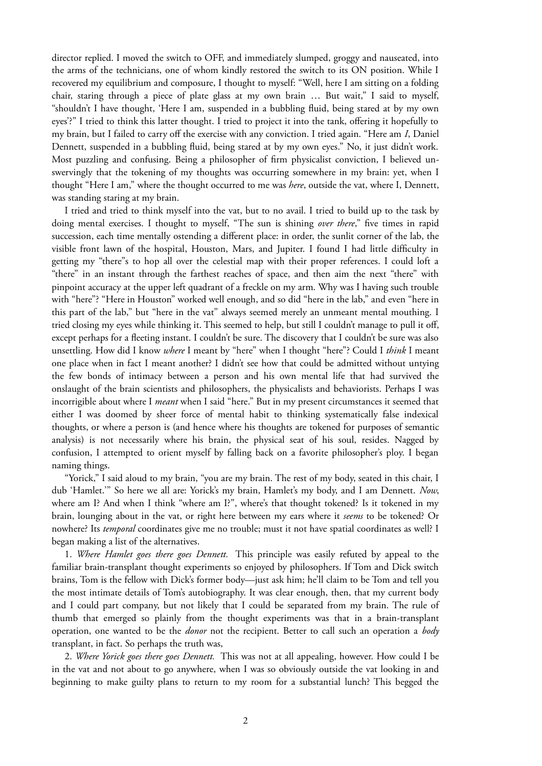director replied. I moved the switch to OFF, and immediately slumped, groggy and nauseated, into the arms of the technicians, one of whom kindly restored the switch to its ON position. While I recovered my equilibrium and composure, I thought to myself: "Well, here I am sitting on a folding chair, staring through a piece of plate glass at my own brain … But wait," I said to myself, "shouldn't I have thought, 'Here I am, suspended in a bubbling fluid, being stared at by my own eyes'?" I tried to think this latter thought. I tried to project it into the tank, offering it hopefully to my brain, but I failed to carry off the exercise with any conviction. I tried again. "Here am *I*, Daniel Dennett, suspended in a bubbling fluid, being stared at by my own eyes." No, it just didn't work. Most puzzling and confusing. Being a philosopher of firm physicalist conviction, I believed unswervingly that the tokening of my thoughts was occurring somewhere in my brain: yet, when I thought "Here I am," where the thought occurred to me was *here*, outside the vat, where I, Dennett, was standing staring at my brain.

I tried and tried to think myself into the vat, but to no avail. I tried to build up to the task by doing mental exercises. I thought to myself, "The sun is shining *over there*," five times in rapid succession, each time mentally ostending a different place: in order, the sunlit corner of the lab, the visible front lawn of the hospital, Houston, Mars, and Jupiter. I found I had little difficulty in getting my "there"s to hop all over the celestial map with their proper references. I could loft a "there" in an instant through the farthest reaches of space, and then aim the next "there" with pinpoint accuracy at the upper left quadrant of a freckle on my arm. Why was I having such trouble with "here"? "Here in Houston" worked well enough, and so did "here in the lab," and even "here in this part of the lab," but "here in the vat" always seemed merely an unmeant mental mouthing. I tried closing my eyes while thinking it. This seemed to help, but still I couldn't manage to pull it off, except perhaps for a fleeting instant. I couldn't be sure. The discovery that I couldn't be sure was also unsettling. How did I know *where* I meant by "here" when I thought "here"? Could I *think* I meant one place when in fact I meant another? I didn't see how that could be admitted without untying the few bonds of intimacy between a person and his own mental life that had survived the onslaught of the brain scientists and philosophers, the physicalists and behaviorists. Perhaps I was incorrigible about where I *meant* when I said "here." But in my present circumstances it seemed that either I was doomed by sheer force of mental habit to thinking systematically false indexical thoughts, or where a person is (and hence where his thoughts are tokened for purposes of semantic analysis) is not necessarily where his brain, the physical seat of his soul, resides. Nagged by confusion, I attempted to orient myself by falling back on a favorite philosopher's ploy. I began naming things.

"Yorick," I said aloud to my brain, "you are my brain. The rest of my body, seated in this chair, I dub 'Hamlet.'" So here we all are: Yorick's my brain, Hamlet's my body, and I am Dennett. *Now*, where am I? And when I think "where am I?", where's that thought tokened? Is it tokened in my brain, lounging about in the vat, or right here between my ears where it *seems* to be tokened? Or nowhere? Its *temporal* coordinates give me no trouble; must it not have spatial coordinates as well? I began making a list of the alternatives.

1. *Where Hamlet goes there goes Dennett.* This principle was easily refuted by appeal to the familiar brain-transplant thought experiments so enjoyed by philosophers. If Tom and Dick switch brains, Tom is the fellow with Dick's former body—just ask him; he'll claim to be Tom and tell you the most intimate details of Tom's autobiography. It was clear enough, then, that my current body and I could part company, but not likely that I could be separated from my brain. The rule of thumb that emerged so plainly from the thought experiments was that in a brain-transplant operation, one wanted to be the *donor* not the recipient. Better to call such an operation a *body* transplant, in fact. So perhaps the truth was,

2. *Where Yorick goes there goes Dennett.* This was not at all appealing, however. How could I be in the vat and not about to go anywhere, when I was so obviously outside the vat looking in and beginning to make guilty plans to return to my room for a substantial lunch? This begged the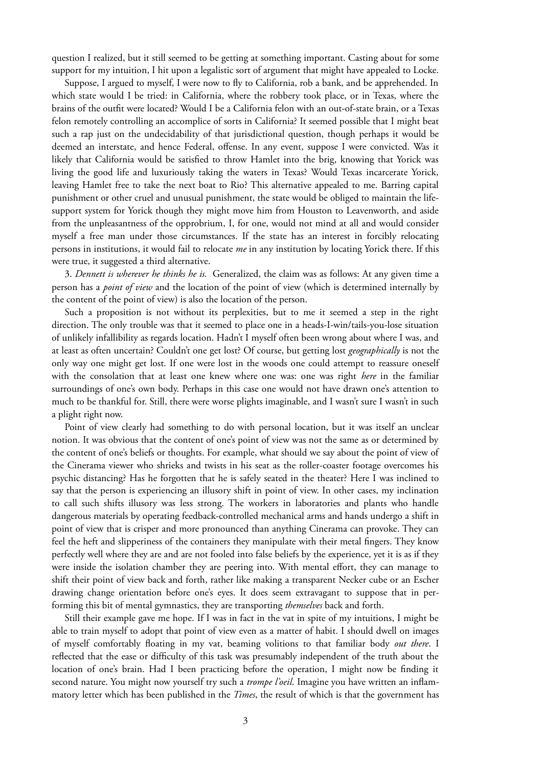question I realized, but it still seemed to be getting at something important. Casting about for some support for my intuition, I hit upon a legalistic sort of argument that might have appealed to Locke.

Suppose, I argued to myself, I were now to fly to California, rob a bank, and be apprehended. In which state would I be tried: in California, where the robbery took place, or in Texas, where the brains of the outfit were located? Would I be a California felon with an out-of-state brain, or a Texas felon remotely controlling an accomplice of sorts in California? It seemed possible that I might beat such a rap just on the undecidability of that jurisdictional question, though perhaps it would be deemed an interstate, and hence Federal, offense. In any event, suppose I were convicted. Was it likely that California would be satisfied to throw Hamlet into the brig, knowing that Yorick was living the good life and luxuriously taking the waters in Texas? Would Texas incarcerate Yorick, leaving Hamlet free to take the next boat to Rio? This alternative appealed to me. Barring capital punishment or other cruel and unusual punishment, the state would be obliged to maintain the lifesupport system for Yorick though they might move him from Houston to Leavenworth, and aside from the unpleasantness of the opprobrium, I, for one, would not mind at all and would consider myself a free man under those circumstances. If the state has an interest in forcibly relocating persons in institutions, it would fail to relocate *me* in any institution by locating Yorick there. If this were true, it suggested a third alternative.

3. *Dennett is wherever he thinks he is.* Generalized, the claim was as follows: At any given time a person has a *point of view* and the location of the point of view (which is determined internally by the content of the point of view) is also the location of the person.

Such a proposition is not without its perplexities, but to me it seemed a step in the right direction. The only trouble was that it seemed to place one in a heads-I-win/tails-you-lose situation of unlikely infallibility as regards location. Hadn't I myself often been wrong about where I was, and at least as often uncertain? Couldn't one get lost? Of course, but getting lost *geographically* is not the only way one might get lost. If one were lost in the woods one could attempt to reassure oneself with the consolation that at least one knew where one was: one was right *here* in the familiar surroundings of one's own body. Perhaps in this case one would not have drawn one's attention to much to be thankful for. Still, there were worse plights imaginable, and I wasn't sure I wasn't in such a plight right now.

Point of view clearly had something to do with personal location, but it was itself an unclear notion. It was obvious that the content of one's point of view was not the same as or determined by the content of one's beliefs or thoughts. For example, what should we say about the point of view of the Cinerama viewer who shrieks and twists in his seat as the roller-coaster footage overcomes his psychic distancing? Has he forgotten that he is safely seated in the theater? Here I was inclined to say that the person is experiencing an illusory shift in point of view. In other cases, my inclination to call such shifts illusory was less strong. The workers in laboratories and plants who handle dangerous materials by operating feedback-controlled mechanical arms and hands undergo a shift in point of view that is crisper and more pronounced than anything Cinerama can provoke. They can feel the heft and slipperiness of the containers they manipulate with their metal fingers. They know perfectly well where they are and are not fooled into false beliefs by the experience, yet it is as if they were inside the isolation chamber they are peering into. With mental effort, they can manage to shift their point of view back and forth, rather like making a transparent Necker cube or an Escher drawing change orientation before one's eyes. It does seem extravagant to suppose that in performing this bit of mental gymnastics, they are transporting *themselves* back and forth.

Still their example gave me hope. If I was in fact in the vat in spite of my intuitions, I might be able to train myself to adopt that point of view even as a matter of habit. I should dwell on images of myself comfortably floating in my vat, beaming volitions to that familiar body *out there*. I reflected that the ease or difficulty of this task was presumably independent of the truth about the location of one's brain. Had I been practicing before the operation, I might now be finding it second nature. You might now yourself try such a *trompe l'oeil*. Imagine you have written an inflammatory letter which has been published in the *Times*, the result of which is that the government has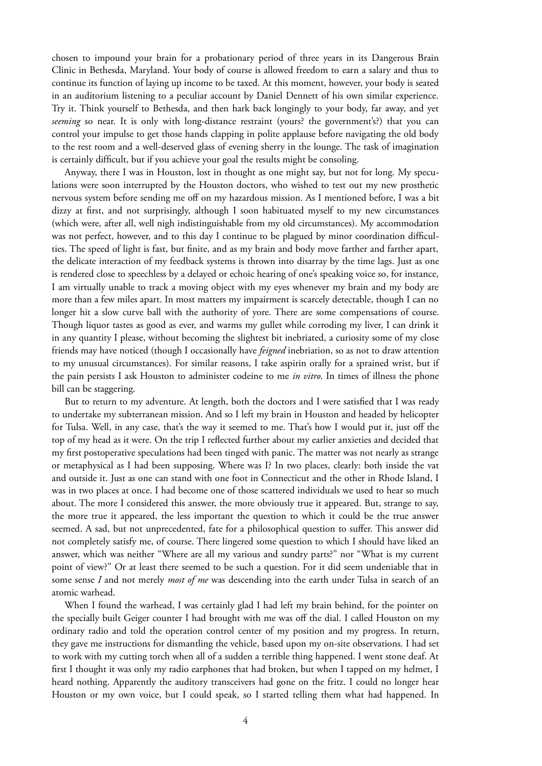chosen to impound your brain for a probationary period of three years in its Dangerous Brain Clinic in Bethesda, Maryland. Your body of course is allowed freedom to earn a salary and thus to continue its function of laying up income to be taxed. At this moment, however, your body is seated in an auditorium listening to a peculiar account by Daniel Dennett of his own similar experience. Try it. Think yourself to Bethesda, and then hark back longingly to your body, far away, and yet *seeming* so near. It is only with long-distance restraint (yours? the government's?) that you can control your impulse to get those hands clapping in polite applause before navigating the old body to the rest room and a well-deserved glass of evening sherry in the lounge. The task of imagination is certainly difficult, but if you achieve your goal the results might be consoling.

Anyway, there I was in Houston, lost in thought as one might say, but not for long. My speculations were soon interrupted by the Houston doctors, who wished to test out my new prosthetic nervous system before sending me off on my hazardous mission. As I mentioned before, I was a bit dizzy at first, and not surprisingly, although I soon habituated myself to my new circumstances (which were, after all, well nigh indistinguishable from my old circumstances). My accommodation was not perfect, however, and to this day I continue to be plagued by minor coordination difficulties. The speed of light is fast, but finite, and as my brain and body move farther and farther apart, the delicate interaction of my feedback systems is thrown into disarray by the time lags. Just as one is rendered close to speechless by a delayed or echoic hearing of one's speaking voice so, for instance, I am virtually unable to track a moving object with my eyes whenever my brain and my body are more than a few miles apart. In most matters my impairment is scarcely detectable, though I can no longer hit a slow curve ball with the authority of yore. There are some compensations of course. Though liquor tastes as good as ever, and warms my gullet while corroding my liver, I can drink it in any quantity I please, without becoming the slightest bit inebriated, a curiosity some of my close friends may have noticed (though I occasionally have *feigned* inebriation, so as not to draw attention to my unusual circumstances). For similar reasons, I take aspirin orally for a sprained wrist, but if the pain persists I ask Houston to administer codeine to me *in vitro*. In times of illness the phone bill can be staggering.

But to return to my adventure. At length, both the doctors and I were satisfied that I was ready to undertake my subterranean mission. And so I left my brain in Houston and headed by helicopter for Tulsa. Well, in any case, that's the way it seemed to me. That's how I would put it, just off the top of my head as it were. On the trip I reflected further about my earlier anxieties and decided that my first postoperative speculations had been tinged with panic. The matter was not nearly as strange or metaphysical as I had been supposing. Where was I? In two places, clearly: both inside the vat and outside it. Just as one can stand with one foot in Connecticut and the other in Rhode Island, I was in two places at once. I had become one of those scattered individuals we used to hear so much about. The more I considered this answer, the more obviously true it appeared. But, strange to say, the more true it appeared, the less important the question to which it could be the true answer seemed. A sad, but not unprecedented, fate for a philosophical question to suffer. This answer did not completely satisfy me, of course. There lingered some question to which I should have liked an answer, which was neither "Where are all my various and sundry parts?" nor "What is my current point of view?" Or at least there seemed to be such a question. For it did seem undeniable that in some sense *I* and not merely *most of me* was descending into the earth under Tulsa in search of an atomic warhead.

When I found the warhead, I was certainly glad I had left my brain behind, for the pointer on the specially built Geiger counter I had brought with me was off the dial. I called Houston on my ordinary radio and told the operation control center of my position and my progress. In return, they gave me instructions for dismantling the vehicle, based upon my on-site observations. I had set to work with my cutting torch when all of a sudden a terrible thing happened. I went stone deaf. At first I thought it was only my radio earphones that had broken, but when I tapped on my helmet, I heard nothing. Apparently the auditory transceivers had gone on the fritz. I could no longer hear Houston or my own voice, but I could speak, so I started telling them what had happened. In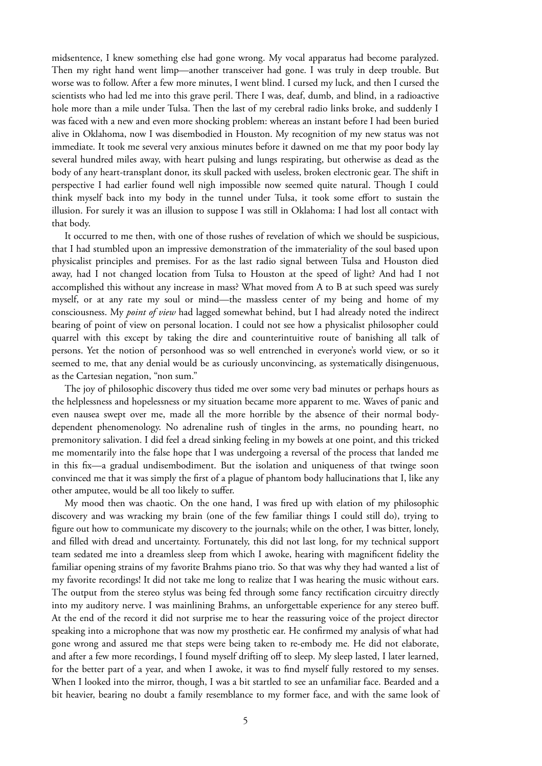midsentence, I knew something else had gone wrong. My vocal apparatus had become paralyzed. Then my right hand went limp—another transceiver had gone. I was truly in deep trouble. But worse was to follow. After a few more minutes, I went blind. I cursed my luck, and then I cursed the scientists who had led me into this grave peril. There I was, deaf, dumb, and blind, in a radioactive hole more than a mile under Tulsa. Then the last of my cerebral radio links broke, and suddenly I was faced with a new and even more shocking problem: whereas an instant before I had been buried alive in Oklahoma, now I was disembodied in Houston. My recognition of my new status was not immediate. It took me several very anxious minutes before it dawned on me that my poor body lay several hundred miles away, with heart pulsing and lungs respirating, but otherwise as dead as the body of any heart-transplant donor, its skull packed with useless, broken electronic gear. The shift in perspective I had earlier found well nigh impossible now seemed quite natural. Though I could think myself back into my body in the tunnel under Tulsa, it took some effort to sustain the illusion. For surely it was an illusion to suppose I was still in Oklahoma: I had lost all contact with that body.

It occurred to me then, with one of those rushes of revelation of which we should be suspicious, that I had stumbled upon an impressive demonstration of the immateriality of the soul based upon physicalist principles and premises. For as the last radio signal between Tulsa and Houston died away, had I not changed location from Tulsa to Houston at the speed of light? And had I not accomplished this without any increase in mass? What moved from A to B at such speed was surely myself, or at any rate my soul or mind—the massless center of my being and home of my consciousness. My *point of view* had lagged somewhat behind, but I had already noted the indirect bearing of point of view on personal location. I could not see how a physicalist philosopher could quarrel with this except by taking the dire and counterintuitive route of banishing all talk of persons. Yet the notion of personhood was so well entrenched in everyone's world view, or so it seemed to me, that any denial would be as curiously unconvincing, as systematically disingenuous, as the Cartesian negation, "non sum."

The joy of philosophic discovery thus tided me over some very bad minutes or perhaps hours as the helplessness and hopelessness or my situation became more apparent to me. Waves of panic and even nausea swept over me, made all the more horrible by the absence of their normal bodydependent phenomenology. No adrenaline rush of tingles in the arms, no pounding heart, no premonitory salivation. I did feel a dread sinking feeling in my bowels at one point, and this tricked me momentarily into the false hope that I was undergoing a reversal of the process that landed me in this fix—a gradual undisembodiment. But the isolation and uniqueness of that twinge soon convinced me that it was simply the first of a plague of phantom body hallucinations that I, like any other amputee, would be all too likely to suffer.

My mood then was chaotic. On the one hand, I was fired up with elation of my philosophic discovery and was wracking my brain (one of the few familiar things I could still do), trying to figure out how to communicate my discovery to the journals; while on the other, I was bitter, lonely, and filled with dread and uncertainty. Fortunately, this did not last long, for my technical support team sedated me into a dreamless sleep from which I awoke, hearing with magnificent fidelity the familiar opening strains of my favorite Brahms piano trio. So that was why they had wanted a list of my favorite recordings! It did not take me long to realize that I was hearing the music without ears. The output from the stereo stylus was being fed through some fancy rectification circuitry directly into my auditory nerve. I was mainlining Brahms, an unforgettable experience for any stereo buff. At the end of the record it did not surprise me to hear the reassuring voice of the project director speaking into a microphone that was now my prosthetic ear. He confirmed my analysis of what had gone wrong and assured me that steps were being taken to re-embody me. He did not elaborate, and after a few more recordings, I found myself drifting off to sleep. My sleep lasted, I later learned, for the better part of a year, and when I awoke, it was to find myself fully restored to my senses. When I looked into the mirror, though, I was a bit startled to see an unfamiliar face. Bearded and a bit heavier, bearing no doubt a family resemblance to my former face, and with the same look of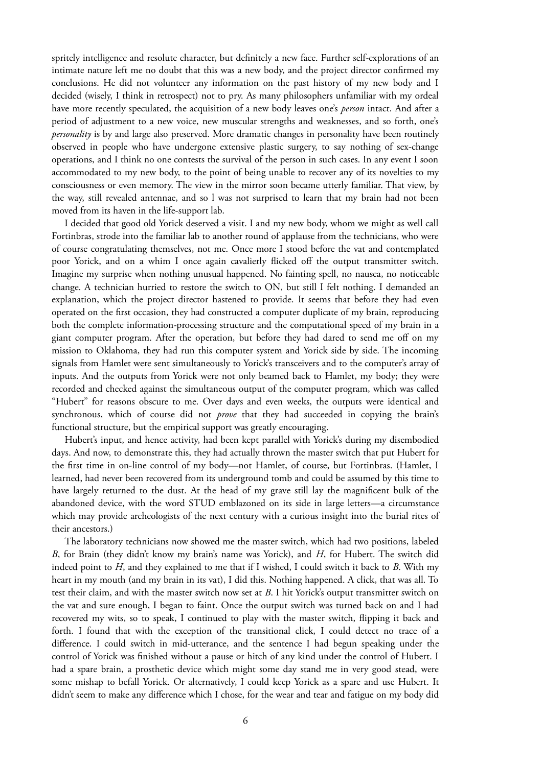spritely intelligence and resolute character, but definitely a new face. Further self-explorations of an intimate nature left me no doubt that this was a new body, and the project director confirmed my conclusions. He did not volunteer any information on the past history of my new body and I decided (wisely, I think in retrospect) not to pry. As many philosophers unfamiliar with my ordeal have more recently speculated, the acquisition of a new body leaves one's *person* intact. And after a period of adjustment to a new voice, new muscular strengths and weaknesses, and so forth, one's *personality* is by and large also preserved. More dramatic changes in personality have been routinely observed in people who have undergone extensive plastic surgery, to say nothing of sex-change operations, and I think no one contests the survival of the person in such cases. In any event I soon accommodated to my new body, to the point of being unable to recover any of its novelties to my consciousness or even memory. The view in the mirror soon became utterly familiar. That view, by the way, still revealed antennae, and so l was not surprised to learn that my brain had not been moved from its haven in the life-support lab.

I decided that good old Yorick deserved a visit. I and my new body, whom we might as well call Fortinbras, strode into the familiar lab to another round of applause from the technicians, who were of course congratulating themselves, not me. Once more I stood before the vat and contemplated poor Yorick, and on a whim I once again cavalierly flicked off the output transmitter switch. Imagine my surprise when nothing unusual happened. No fainting spell, no nausea, no noticeable change. A technician hurried to restore the switch to ON, but still I felt nothing. I demanded an explanation, which the project director hastened to provide. It seems that before they had even operated on the first occasion, they had constructed a computer duplicate of my brain, reproducing both the complete information-processing structure and the computational speed of my brain in a giant computer program. After the operation, but before they had dared to send me off on my mission to Oklahoma, they had run this computer system and Yorick side by side. The incoming signals from Hamlet were sent simultaneously to Yorick's transceivers and to the computer's array of inputs. And the outputs from Yorick were not only beamed back to Hamlet, my body; they were recorded and checked against the simultaneous output of the computer program, which was called "Hubert" for reasons obscure to me. Over days and even weeks, the outputs were identical and synchronous, which of course did not *prove* that they had succeeded in copying the brain's functional structure, but the empirical support was greatly encouraging.

Hubert's input, and hence activity, had been kept parallel with Yorick's during my disembodied days. And now, to demonstrate this, they had actually thrown the master switch that put Hubert for the first time in on-line control of my body—not Hamlet, of course, but Fortinbras. (Hamlet, I learned, had never been recovered from its underground tomb and could be assumed by this time to have largely returned to the dust. At the head of my grave still lay the magnificent bulk of the abandoned device, with the word STUD emblazoned on its side in large letters—a circumstance which may provide archeologists of the next century with a curious insight into the burial rites of their ancestors.)

The laboratory technicians now showed me the master switch, which had two positions, labeled *B*, for Brain (they didn't know my brain's name was Yorick), and *H*, for Hubert. The switch did indeed point to *H*, and they explained to me that if I wished, I could switch it back to *B*. With my heart in my mouth (and my brain in its vat), I did this. Nothing happened. A click, that was all. To test their claim, and with the master switch now set at *B*. I hit Yorick's output transmitter switch on the vat and sure enough, I began to faint. Once the output switch was turned back on and I had recovered my wits, so to speak, I continued to play with the master switch, flipping it back and forth. I found that with the exception of the transitional click, I could detect no trace of a difference. I could switch in mid-utterance, and the sentence I had begun speaking under the control of Yorick was finished without a pause or hitch of any kind under the control of Hubert. I had a spare brain, a prosthetic device which might some day stand me in very good stead, were some mishap to befall Yorick. Or alternatively, I could keep Yorick as a spare and use Hubert. It didn't seem to make any difference which I chose, for the wear and tear and fatigue on my body did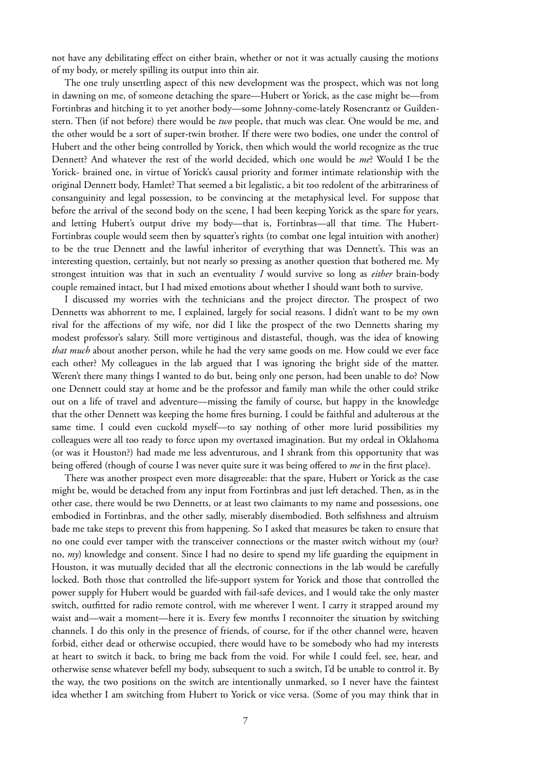not have any debilitating effect on either brain, whether or not it was actually causing the motions of my body, or merely spilling its output into thin air.

The one truly unsettling aspect of this new development was the prospect, which was not long in dawning on me, of someone detaching the spare—Hubert or Yorick, as the case might be—from Fortinbras and hitching it to yet another body—some Johnny-come-lately Rosencrantz or Guildenstern. Then (if not before) there would be *two* people, that much was clear. One would be me, and the other would be a sort of super-twin brother. If there were two bodies, one under the control of Hubert and the other being controlled by Yorick, then which would the world recognize as the true Dennett? And whatever the rest of the world decided, which one would be *me*? Would I be the Yorick- brained one, in virtue of Yorick's causal priority and former intimate relationship with the original Dennett body, Hamlet? That seemed a bit legalistic, a bit too redolent of the arbitrariness of consanguinity and legal possession, to be convincing at the metaphysical level. For suppose that before the arrival of the second body on the scene, I had been keeping Yorick as the spare for years, and letting Hubert's output drive my body—that is, Fortinbras—all that time. The Hubert-Fortinbras couple would seem then by squatter's rights (to combat one legal intuition with another) to be the true Dennett and the lawful inheritor of everything that was Dennett's. This was an interesting question, certainly, but not nearly so pressing as another question that bothered me. My strongest intuition was that in such an eventuality *I* would survive so long as *either* brain-body couple remained intact, but I had mixed emotions about whether I should want both to survive.

I discussed my worries with the technicians and the project director. The prospect of two Dennetts was abhorrent to me, I explained, largely for social reasons. I didn't want to be my own rival for the affections of my wife, nor did I like the prospect of the two Dennetts sharing my modest professor's salary. Still more vertiginous and distasteful, though, was the idea of knowing *that much* about another person, while he had the very same goods on me. How could we ever face each other? My colleagues in the lab argued that I was ignoring the bright side of the matter. Weren't there many things I wanted to do but, being only one person, had been unable to do? Now one Dennett could stay at home and be the professor and family man while the other could strike out on a life of travel and adventure—missing the family of course, but happy in the knowledge that the other Dennett was keeping the home fires burning. I could be faithful and adulterous at the same time. I could even cuckold myself—to say nothing of other more lurid possibilities my colleagues were all too ready to force upon my overtaxed imagination. But my ordeal in Oklahoma (or was it Houston?) had made me less adventurous, and I shrank from this opportunity that was being offered (though of course I was never quite sure it was being offered to *me* in the first place).

There was another prospect even more disagreeable: that the spare, Hubert or Yorick as the case might be, would be detached from any input from Fortinbras and just left detached. Then, as in the other case, there would be two Dennetts, or at least two claimants to my name and possessions, one embodied in Fortinbras, and the other sadly, miserably disembodied. Both selfishness and altruism bade me take steps to prevent this from happening. So I asked that measures be taken to ensure that no one could ever tamper with the transceiver connections or the master switch without my (our? no, *my*) knowledge and consent. Since I had no desire to spend my life guarding the equipment in Houston, it was mutually decided that all the electronic connections in the lab would be carefully locked. Both those that controlled the life-support system for Yorick and those that controlled the power supply for Hubert would be guarded with fail-safe devices, and I would take the only master switch, outfitted for radio remote control, with me wherever I went. I carry it strapped around my waist and—wait a moment—here it is. Every few months I reconnoiter the situation by switching channels. I do this only in the presence of friends, of course, for if the other channel were, heaven forbid, either dead or otherwise occupied, there would have to be somebody who had my interests at heart to switch it back, to bring me back from the void. For while I could feel, see, hear, and otherwise sense whatever befell my body, subsequent to such a switch, I'd be unable to control it. By the way, the two positions on the switch are intentionally unmarked, so I never have the faintest idea whether I am switching from Hubert to Yorick or vice versa. (Some of you may think that in